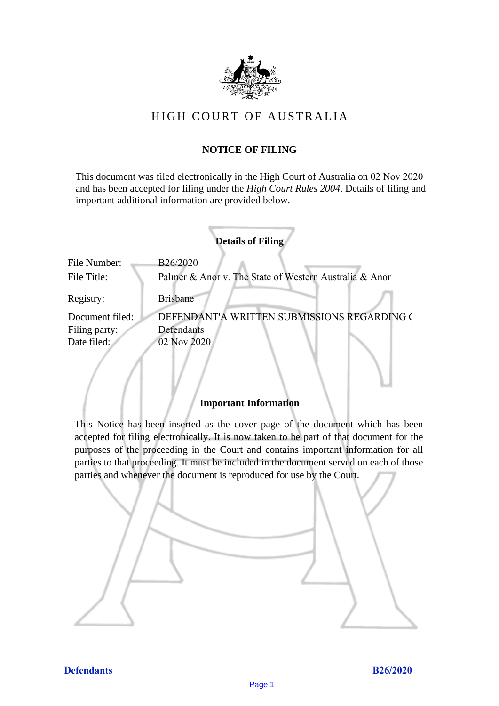

# HIGH COURT OF AU STRALIA HIGH COURT OF AUSTRALIA

### **NOTICE OF FILING** NOTICE OF FILING

This document was filed electronically in the High Court of Australia on 02 Nov 2020 This document was filed electronically in the High Court of Australia 20 and has been accepted for filing under the *High Court Rules 2004*. Details of filing and important additional information are provided below. important additional information are provided below.

|                                                 | <b>Details of Filing</b>                                                 |
|-------------------------------------------------|--------------------------------------------------------------------------|
| File Number:<br>File Title:                     | B26/2020<br>Palmer & Anor v. The State of Western Australia & Anor       |
| Registry:                                       | <b>Brisbane</b>                                                          |
| Document filed:<br>Filing party:<br>Date filed: | DEFENDANT'A WRITTEN SUBMISSIONS REGARDING (<br>Defendants<br>02 Nov 2020 |
|                                                 |                                                                          |

### **Important Information** Important Information

This Notice has been inserted as the cover page of the document which has been accepted for filing electronically. It is now taken to be part of that document for the purposes of the proceeding in the Court and contains important information for all parties to that proceeding. It must be included in the document served on each of those parties and whenever the document is reproduced for use by the Court. parties and whenever the document is reproduced for use by the Court

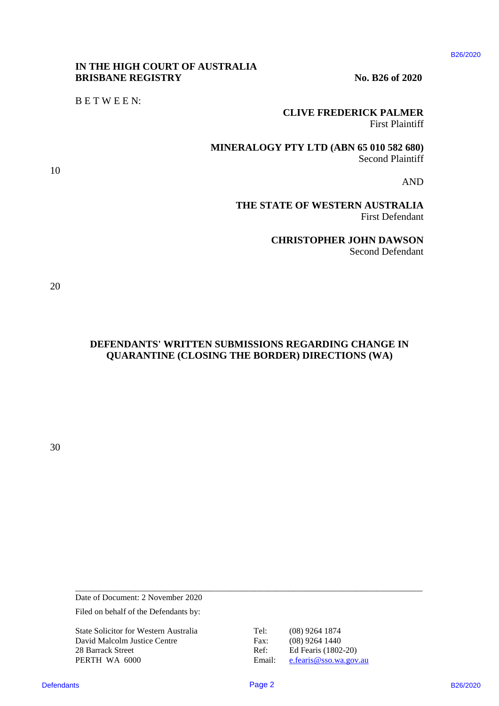#### B26/2020

### **IN THE HIGH COURT OF AUSTRALIA** IN THE HIGH COURT OF AUSTRALIA **BRISBANE REGISTRY** No. B26 of 2020

B E T W E E N: BETWEEN:

**CLIVE FREDERICK PALMER** CLIVE FREDERICK PALMER

First Plaintiff First Plaintiff

**MINERALOGY PTY LTD (ABN 65 010 582 680)** MINERALOGY PTY LTD (ABN 65 010 582 680) Second Plaintiff Second Plaintiff

AND AND

**THE STATE OF WESTERN AUSTRALIA**  THE STATE OF WESTERN AUSTRALIA First Defendant First Defendant

> **CHRISTOPHER JOHN DAWSON** CHRISTOPHER JOHN DAWSON Second Defendant Second Defendant

20 20

10 10

**DEFENDANTS' WRITTEN SUBMISSIONS REGARDING CHANGE IN**  DEFENDANTS' WRITTEN SUBMISSIONS REGARDING CHANGE IN **QUARANTINE (CLOSING THE BORDER) DIRECTIONS (WA)** QUARANTINE (CLOSING THE BORDER) DIRECTIONS (WA) **DEFENDANTS WEITER SUBMISSION BECAUSITE (2020)**<br> **DEFENDANTS B26/2020**<br> **CLAVEPRIDENTS FOR SECRET PARTS FOR SECRET AND RESULTED AND SECOND SECOND BY**  $\frac{1}{2}$ **<br>
THE STATE OF WESTERN ALGORED AND SECOND BY**  $\frac{1}{2}$ **<br>
THE STA** 

30 30

Date of Document: 2 November 2020 Date of Document: 2 November 2020

Filed on behalf of the Defendants by:

State Solicitor for Western Australia Tel: (08) 9264 1874 State Solicitor for Western Australia Tel: (08) 9264 1874 David Malcolm Justice Centre Fax: (08) 9264 1440 28 Barrack Street Ref: Ed Fearis (1802-20) PERTH WA 6000 Email: [e.fearis@sso.wa.gov.au](mailto:e.fearis@sso.wa.gov.au)

\_\_\_\_\_\_\_\_\_\_\_\_\_\_\_\_\_\_\_\_\_\_\_\_\_\_\_\_\_\_\_\_\_\_\_\_\_\_\_\_\_\_\_\_\_\_\_\_\_\_\_\_\_\_\_\_\_\_\_\_\_\_\_\_\_\_\_\_\_\_\_\_\_\_\_\_\_\_\_\_\_\_\_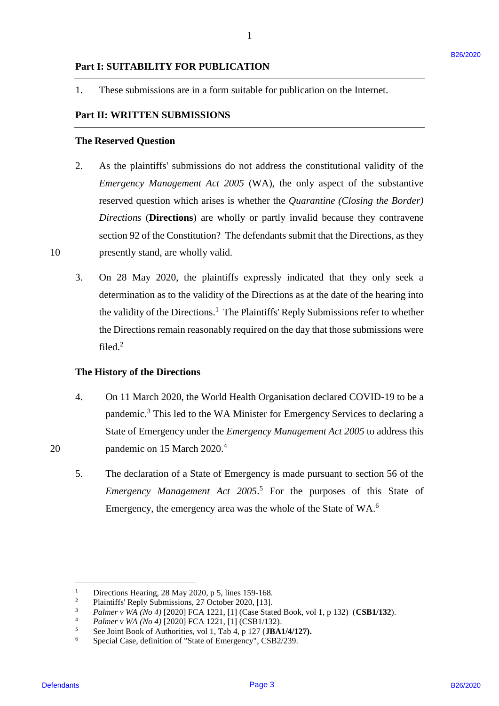1. These submissions are in a form suitable for publication on the Internet.

1

## **Part II: WRITTEN SUBMISSIONS** Part Il: WRITTEN SUBMISSIONS

#### **The Reserved Question** The Reserved Question

- 2. As the plaintiffs' submissions do not address the constitutional validity of the 2. As the plaintiffs' submissions do not address the constitutional validity of the *Emergency Management Act 2005* (WA), the only aspect of the substantive Emergency Management Act 2005 (WA), the only aspect of the substantive reserved question which arises is whether the *Quarantine (Closing the Border)*  reserved question which arises is whether the Quarantine (Closing the Border) *Directions* (**Directions**) are wholly or partly invalid because they contravene Directions (Directions) are wholly or partly invalid because they contravene section 92 of the Constitution? The defendants submit that the Directions, as they section 92 of the Constitution? The defendants submit that the Directions, as they 10 presently stand, are wholly valid. Part 1: SUITABLITTY FOR PUBLICATION<br>
1. These submissions are in a form submble for publication on the Internet.<br>
2. The Herewicz Question<br>
2. As the phasitric submissions do not addition the constitutional validity of th
	- 3. On 28 May 2020, the plaintiffs expressly indicated that they only seek a 3. On 28 May 2020, the plaintiffs expressly indicated that they only seek <sup>a</sup> determination as to the validity of the Directions as at the date of the hearing into the validity of the Directions.<sup>1</sup> The Plaintiffs' Reply Submissions refer to whether the Directions remain reasonably required on the day that those submissions were the Directions remain reasonably required on the day that those submissions were filed.<sup>2</sup>

#### **The History of the Directions** The History of the Directions

- 4. On 11 March 2020, the World Health Organisation declared COVID-19 to be a 4. On <sup>11</sup> March 2020, the World Health Organisation declared COVID-19 to be <sup>a</sup> pandemic.<sup>3</sup> This led to the WA Minister for Emergency Services to declaring a State of Emergency under the *Emergency Management Act 2005* to address this State of Emergency under the Emergency Management Act 2005 to address this 20 pandemic on 15 March 2020.<sup>4</sup>
	- 5. The declaration of a State of Emergency is made pursuant to section 56 of the 5. The declaration of <sup>a</sup> State of Emergency is made pursuant to section 56 of the *Emergency Management Act 2005*. <sup>5</sup> For the purposes of this State of Emergency Management Act 2005.° For the purposes of this State of Emergency, the emergency area was the whole of the State of WA.<sup>6</sup>

 $\overline{a}$ 

<sup>&</sup>lt;sup>1</sup> Directions Hearing, 28 May 2020, p 5, lines 159-168.

<sup>&</sup>lt;sup>2</sup> Plaintiffs' Reply Submissions, 27 October 2020, [13].  $\begin{array}{c} 1 \\ 2 \\ 3 \\ 4 \end{array}$ 

<sup>3</sup> *Palmer v WA (No 4)* [2020] FCA 1221, [1] (Case Stated Book, vol 1, p 132) (**CSB1/132**). Palmer v WA (No 4) [2020] FCA 1221, [1] (Case Stated Book, vol 1, p 132) (CSB1/132).

<sup>4</sup> *Palmer v WA (No 4)* [2020] FCA 1221, [1] (CSB1/132). Palmer v WA (No 4) [2020] FCA 1221, [1] (CSB1/132).

<sup>5</sup> See Joint Book of Authorities, vol 1, Tab 4, p 127 (**JBA1/4/127).** See Joint Book of Authorities, vol 1, Tab 4, <sup>p</sup> 127 (JBA1/4/127).

<sup>6</sup> Special Case, definition of "State of Emergency", CSB2/239. Special Case, definition of "State of Emergency", CSB2/239.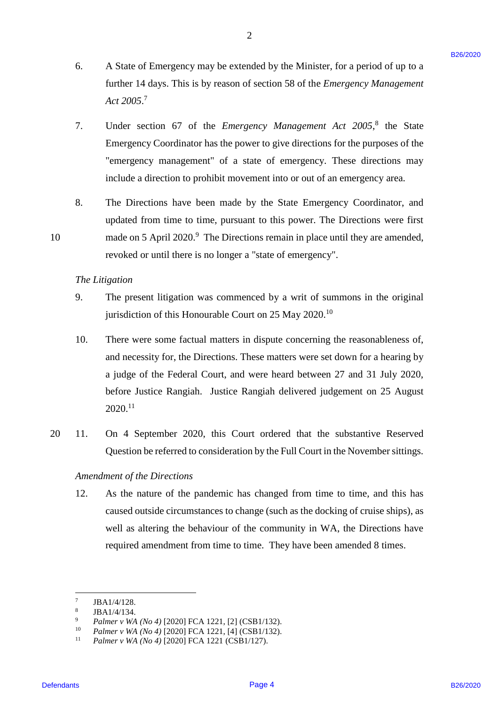6. A State of Emergency may be extended by the Minister, for a period of up to a A State of Emergency may be extended by the Minister, for <sup>a</sup> period of up to <sup>a</sup> further 14 days. This is by reason of section 58 of the *Emergency Management*  further 14 days. This is by reason of section 58 of the Emergency Management *Act 2005*. 7 Act 2005.'

2

- 7. Under section 67 of the *Emergency Management Act 2005*, 8 the State Under section 67 of the Emergency Management Act 2005,° the State Emergency Coordinator has the power to give directions for the purposes of the Emergency Coordinator has the power to give directions for the purposes of the "emergency management" of a state of emergency. These directions may "emergency management" of a state of emergency. These directions may include a direction to prohibit movement into or out of an emergency area. include <sup>a</sup> direction to prohibit movement into or out of an emergency area.
- 8. The Directions have been made by the State Emergency Coordinator, and The Directions have been made by the State Emergency Coordinator, and updated from time to time, pursuant to this power. The Directions were first updated from time to time, pursuant to this power. The Directions were first 10 made on 5 April 2020.<sup>9</sup> The Directions remain in place until they are amended, revoked or until there is no longer a "state of emergency". revoked or until there is no longer <sup>a</sup> "state of emergency".

#### *The Litigation* The Litigation

10

- 9. The present litigation was commenced by a writ of summons in the original The present litigation was commenced by <sup>a</sup> writ of summons in the original jurisdiction of this Honourable Court on 25 May 2020.<sup>10</sup> 9.
- 10. There were some factual matters in dispute concerning the reasonableness of, There were some factual matters in dispute concerning the reasonableness of, and necessity for, the Directions. These matters were set down for a hearing by and necessity for, the Directions. These matters were set down for a hearing by a judge of the Federal Court, and were heard between 27 and 31 July 2020, a judge of the Federal Court, and were heard between 27 and <sup>31</sup> July 2020, before Justice Rangiah. Justice Rangiah delivered judgement on 25 August before Justice Rangiah. Justice Rangiah delivered judgement on 25 August  $2020.^{11}$ 6. A State of Ismargenty may be extended by the Minister, for a period of up to a function of the *Def* 2020.<sup>2</sup> B26 State 214 days. This is by reason of section 38 of the *Energyeenery Management* Act 2005.<sup>2</sup> the State 10.
	- 20 11. On 4 September 2020, this Court ordered that the substantive Reserved On 4 September 2020, this Court ordered that the substantive Reserved Question be referred to consideration by the Full Court in the November sittings. Question be referred to consideration by the Full Court in the November sittings. 20 «II.

### *Amendment of the Directions* Amendment of the Directions

12. As the nature of the pandemic has changed from time to time, and this has 12. As the nature of the pandemic has changed from time to time, and this has caused outside circumstances to change (such as the docking of cruise ships), as caused outside circumstances to change (such as the docking of cruise ships), as well as altering the behaviour of the community in WA, the Directions have well as altering the behaviour of the community in WA, the Directions have required amendment from time to time. They have been amended 8 times.

 $\frac{1}{7}$ JBA1/4/128. JBA1/4/128.

<sup>8</sup> JBA1/4/134. JBA1/4/134,

<sup>&</sup>lt;sup>9</sup> *Palmer v WA (No 4)* [2020] FCA 1221, [2] (CSB1/132).

<sup>10</sup> *Palmer v WA (No 4)* [2020] FCA 1221, [4] (CSB1/132). Palmer v WA (No 4) [2020] FCA 1221, [4] (CSB1/132).

<sup>11</sup> *Palmer v WA (No 4)* [2020] FCA 1221 (CSB1/127). Palmer v WA (No 4) [2020] FCA 1221 (CSB1/127).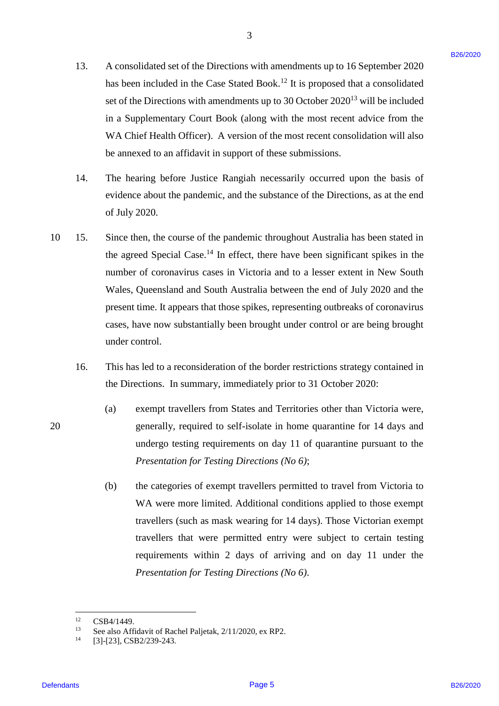13. A consolidated set of the Directions with amendments up to 16 September 2020 A consolidated set of the Directions with amendments up to 16 September 2020 has been included in the Case Stated Book.<sup>12</sup> It is proposed that a consolidated set of the Directions with amendments up to 30 October 2020<sup>13</sup> will be included in a Supplementary Court Book (along with the most recent advice from the in <sup>a</sup> Supplementary Court Book (along with the most recent advice from the WA Chief Health Officer). A version of the most recent consolidation will also WA Chief Health Officer). A version of the most recent consolidation will also be annexed to an affidavit in support of these submissions. be annexed to an affidavit in support of these submissions. 13.

3

- 14. The hearing before Justice Rangiah necessarily occurred upon the basis of The hearing before Justice Rangiah necessarily occurred upon the basis of evidence about the pandemic, and the substance of the Directions, as at the end of July 2020. of July 2020. 14.
- 10 15. Since then, the course of the pandemic throughout Australia has been stated in Since then, the course of the pandemic throughout Australia has been stated in the agreed Special Case.<sup>14</sup> In effect, there have been significant spikes in the number of coronavirus cases in Victoria and to a lesser extent in New South number of coronavirus cases in Victoria and to <sup>a</sup> lesser extent in New South Wales, Queensland and South Australia between the end of July 2020 and the Wales, Queensland and South Australia between the end of July 2020 and the present time. It appears that those spikes, representing outbreaks of coronavirus present time. It appears that those spikes, representing outbreaks of coronavirus cases, have now substantially been brought under control or are being brought cases, have now substantially been brought under control or are being brought under control. under control. 13. A consolidated set of the Direction with annentiments up to 16 September 2020<br>
the best interded to the Case Since floor, <sup>14</sup> is 15 proposed that oconsolidated<br>
set of the Directions with memolentes to the 30 Charder 10. 15.
	- 16. This has led to a reconsideration of the border restrictions strategy contained in This has led to <sup>a</sup> reconsideration of the border restrictions strategy contained in the Directions. In summary, immediately prior to 31 October 2020: the Directions. In summary, immediately prior to 31 October 2020: 16.
	- (a) exempt travellers from States and Territories other than Victoria were, (a) exempt travellers from States and Territories other than Victoria were, 20 generally, required to self-isolate in home quarantine for 14 days and generally, required to self-isolate in home quarantine for 14 days and undergo testing requirements on day 11 of quarantine pursuant to the undergo testing requirements on day <sup>11</sup> of quarantine pursuant to the *Presentation for Testing Directions (No 6)*; Presentation for Testing Directions (No 6);
		- (b) the categories of exempt travellers permitted to travel from Victoria to (b) the categories of exempt travellers permitted to travel from Victoria to WA were more limited. Additional conditions applied to those exempt WA were more limited. Additional conditions applied to those exempt travellers (such as mask wearing for 14 days). Those Victorian exempt travellers (such as mask wearing for 14 days). Those Victorian exempt travellers that were permitted entry were subject to certain testing travellers that were permitted entry were subject to certain testing requirements within 2 days of arriving and on day 11 under the *Presentation for Testing Directions (No 6)*. Presentation for Testing Directions (No 6).

 $\frac{1}{12}$ <sup>12</sup> CSB4/1449. CSB4/1449.

<sup>&</sup>lt;sup>13</sup> See also Affidavit of Rachel Paljetak, 2/11/2020, ex RP2. 13

<sup>14</sup> 14[3]-[23], CSB2/239-243. [3]-[23], CSB2/239-243.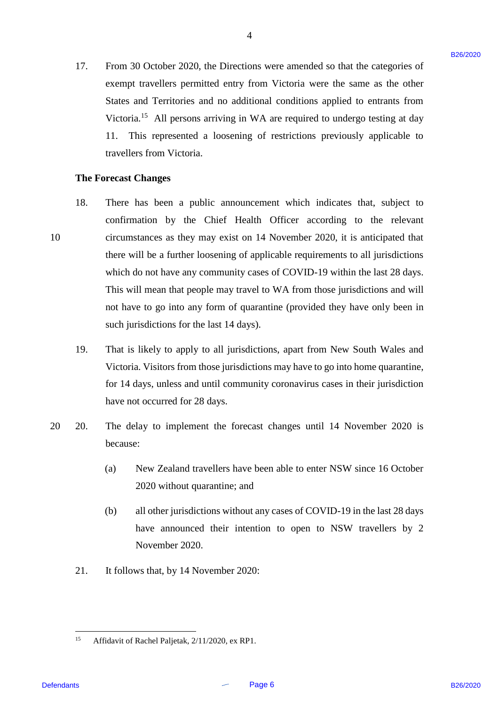17. From 30 October 2020, the Directions were amended so that the categories of exempt travellers permitted entry from Victoria were the same as the other States and Territories and no additional conditions applied to entrants from States and Territories and no additional conditions applied to entrants from Victoria.<sup>15</sup> All persons arriving in WA are required to undergo testing at day 11. This represented a loosening of restrictions previously applicable to 11. This represented <sup>a</sup> loosening of restrictions previously applicable to travellers from Victoria. travellers from Victoria.

#### **The Forecast Changes** The Forecast Changes

- 18. There has been a public announcement which indicates that, subject to There has been <sup>a</sup> public announcement which indicates that, subject to confirmation by the Chief Health Officer according to the relevant 10 circumstances as they may exist on 14 November 2020, it is anticipated that circumstances as they may exist on 14 November 2020, it is anticipated that there will be a further loosening of applicable requirements to all jurisdictions there will be <sup>a</sup> further loosening of applicable requirements to all jurisdictions which do not have any community cases of COVID-19 within the last 28 days. which do not have any community cases of COVID-19 within the last 28 days. This will mean that people may travel to WA from those jurisdictions and will This will mean that people may travel to WA from those jurisdictions and will not have to go into any form of quarantine (provided they have only been in not have to go into any form of quarantine (provided they have only been in such jurisdictions for the last 14 days). such jurisdictions for the last 14 days). 17. From 30 October 2020, the Directions were amended so that the diagograms of<br>
eventy traveleles permitted curve from Victoria were the sum on the order<br>
Since and Territoria and no auditions a mythical conditions and t 18. 10
	- 19. That is likely to apply to all jurisdictions, apart from New South Wales and That is likely to apply to all jurisdictions, apart from New South Wales and Victoria. Visitors from those jurisdictions may have to go into home quarantine, Victoria. Visitors from those jurisdictions may have to go into home quarantine, for 14 days, unless and until community coronavirus cases in their jurisdiction for 14 days, unless and until community coronavirus cases in their jurisdiction have not occurred for 28 days. have not occurred for 28 days. 19.
	- 20 20. The delay to implement the forecast changes until 14 November 2020 is The delay to implement the forecast changes until 14 November 2020 is because: because: 20 20.
		- (a) New Zealand travellers have been able to enter NSW since 16 October (a) New Zealand travellers have been able to enter NSW since 16 October 2020 without quarantine; and 2020 without quarantine; and
		- (b) all other jurisdictions without any cases of COVID-19 in the last 28 days (b) all other jurisdictions without any cases of COVID-19 in the last 28 days have announced their intention to open to NSW travellers by 2 have announced their intention to open to NSW travellers by 2 November 2020. November 2020.
		- 21. It follows that, by 14 November 2020: It follows that, by 14 November 2020: 21.

 $\frac{15}{15}$ <sup>15</sup> Affidavit of Rachel Paljetak, 2/11/2020, ex RP1. Affidavit of Rachel Paljetak, 2/11/2020, ex RP1.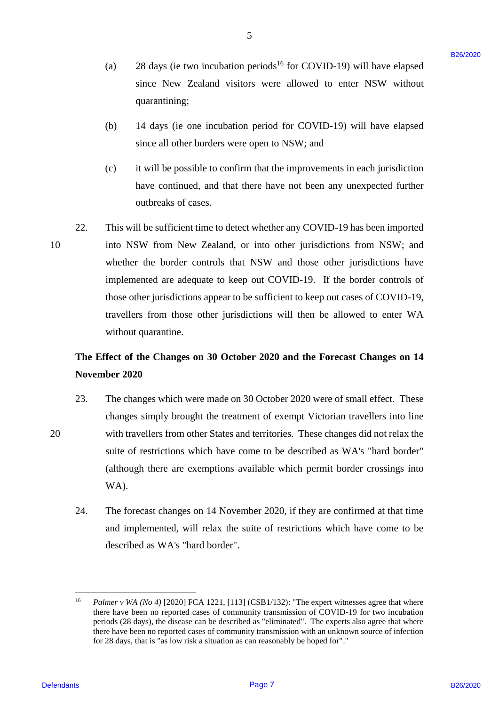- (a) 28 days (ie two incubation periods<sup>16</sup> for COVID-19) will have elapsed since New Zealand visitors were allowed to enter NSW without quarantining; quarantining;
- (b) 14 days (ie one incubation period for COVID-19) will have elapsed (b) <sup>14</sup> days (ie one incubation period for COVID-19) will have elapsed since all other borders were open to NSW; and since all other borders were open to NSW; and
- (c) it will be possible to confirm that the improvements in each jurisdiction (c) it will be possible to confirm that the improvements in eachjurisdiction have continued, and that there have not been any unexpected further have continued, and that there have not been any unexpected further outbreaks of cases. outbreaks of cases.
- 22. This will be sufficient time to detect whether any COVID-19 has been imported This will be sufficient time to detect whether any COVID-19 has been imported 10 into NSW from New Zealand, or into other jurisdictions from NSW; and into NSW from New Zealand, or into other jurisdictions from NSW; and whether the border controls that NSW and those other jurisdictions have whether the border controls that NSW and those other jurisdictions have implemented are adequate to keep out COVID-19. If the border controls of implemented are adequate to keep out COVID-19. If the border controls of those other jurisdictions appear to be sufficient to keep out cases of COVID-19, those other jurisdictions appear to be sufficient to keep out cases of COVID-19, travellers from those other jurisdictions will then be allowed to enter WA travellers from those other jurisdictions will then be allowed to enter WA without quarantine. without quarantine. (a) 28 sings (is too invariants) or products and to COVID-19) will have elapsed<br>since New Zeemland visitors, were allowed to enter NSW without<br>summarizeing:<br>the system of the system of the control of the COVID-19) will ha 22. 10

# **The Effect of the Changes on 30 October 2020 and the Forecast Changes on 14**  The Effect of the Changes on 30 October 2020 and the Forecast Changes on 14 **November 2020** November 2020

- 23. The changes which were made on 30 October 2020 were of small effect. These changes simply brought the treatment of exempt Victorian travellers into line changes simply brought the treatment of exempt Victorian travellers into line 20 with travellers from other States and territories. These changes did not relax the with travellers from other States and territories. These changes did not relax the suite of restrictions which have come to be described as WA's "hard border" (although there are exemptions available which permit border crossings into (although there are exemptions available which permit border crossings into WA). WA). 23.
	- 24. The forecast changes on 14 November 2020, if they are confirmed at that time The forecast changes on <sup>14</sup> November 2020, ifthey are confirmed at that time and implemented, will relax the suite of restrictions which have come to be and implemented, will relax the suite of restrictions which have come to be described as WA's "hard border". described as WA's "hard border". 24.

 $16$ <sup>16</sup> Palmer v WA (No 4) [2020] FCA 1221, [113] (CSB1/132): "The expert witnesses agree that where there have been no reported cases of community transmission of COVID-19 for two incubation there have been no reported cases of community transmission of COVID-19 for two incubation periods (28 days), the disease can be described as "eliminated". The experts also agree that where periods (28 days), the disease can be described as "eliminated". The experts also agree that where there have been no reported cases of community transmission with an unknown source of infection there have been no reported cases of community transmission with an unknown source of infection for 28 days, that is "as low risk a situation as can reasonably be hoped for"."